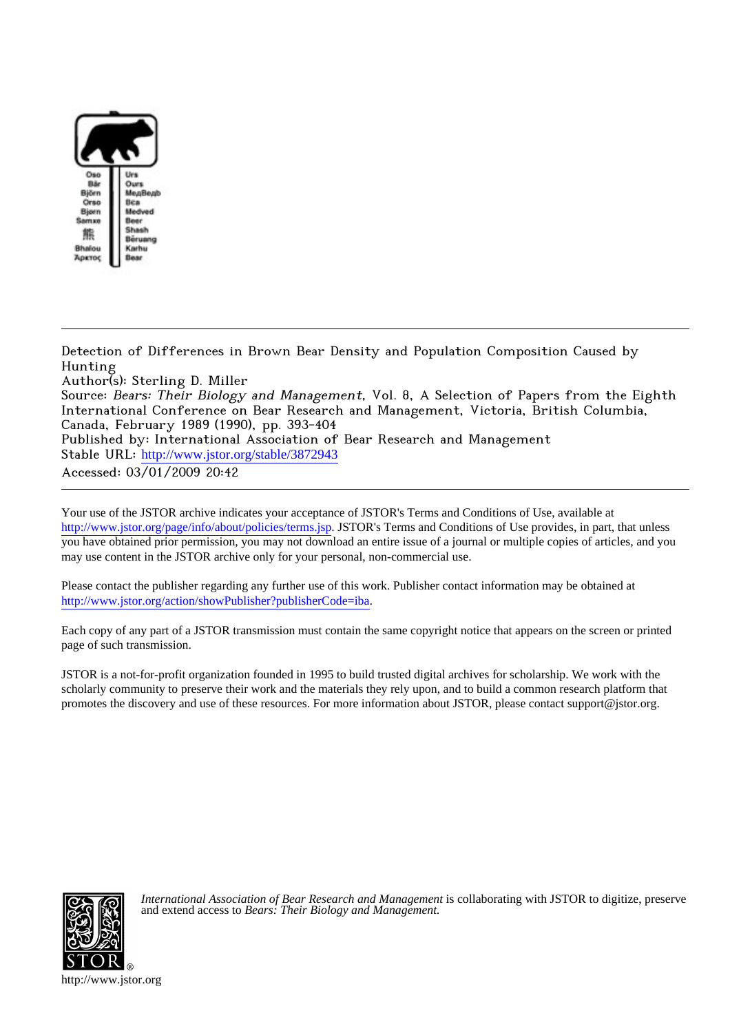

Detection of Differences in Brown Bear Density and Population Composition Caused by Hunting

Author(s): Sterling D. Miller

Source: Bears: Their Biology and Management, Vol. 8, A Selection of Papers from the Eighth International Conference on Bear Research and Management, Victoria, British Columbia, Canada, February 1989 (1990), pp. 393-404 Published by: International Association of Bear Research and Management

Stable URL: [http://www.jstor.org/stable/3872943](http://www.jstor.org/stable/3872943?origin=JSTOR-pdf)

Accessed: 03/01/2009 20:42

Your use of the JSTOR archive indicates your acceptance of JSTOR's Terms and Conditions of Use, available at <http://www.jstor.org/page/info/about/policies/terms.jsp>. JSTOR's Terms and Conditions of Use provides, in part, that unless you have obtained prior permission, you may not download an entire issue of a journal or multiple copies of articles, and you may use content in the JSTOR archive only for your personal, non-commercial use.

Please contact the publisher regarding any further use of this work. Publisher contact information may be obtained at <http://www.jstor.org/action/showPublisher?publisherCode=iba>.

Each copy of any part of a JSTOR transmission must contain the same copyright notice that appears on the screen or printed page of such transmission.

JSTOR is a not-for-profit organization founded in 1995 to build trusted digital archives for scholarship. We work with the scholarly community to preserve their work and the materials they rely upon, and to build a common research platform that promotes the discovery and use of these resources. For more information about JSTOR, please contact support@jstor.org.



*International Association of Bear Research and Management* is collaborating with JSTOR to digitize, preserve and extend access to *Bears: Their Biology and Management.*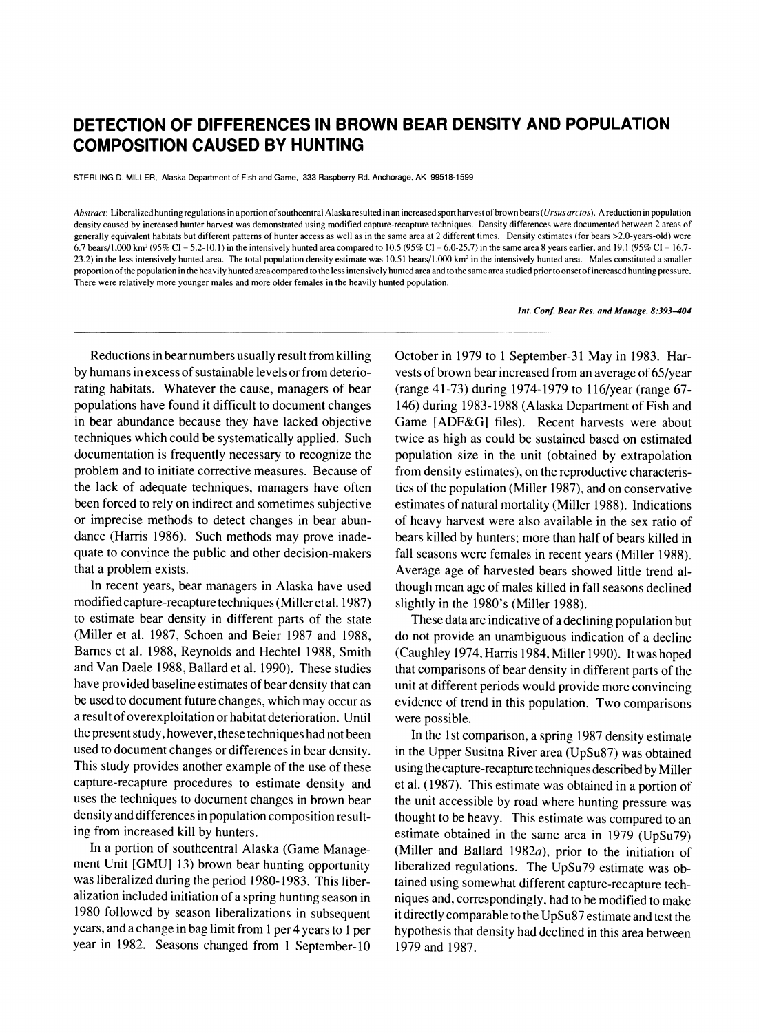# **DETECTION OF DIFFERENCES IN BROWN BEAR DENSITY AND POPULATION COMPOSITION CAUSED BY HUNTING**

**STERLING D. MILLER, Alaska Department of Fish and Game, 333 Raspberry Rd. Anchorage, AK 99518-1599** 

**Abstract: Liberalized hunting regulations in a portion of southcentral Alaska resulted in an increased sport harvest of brown bears (Ursus arctos). A reduction in population density caused by increased hunter harvest was demonstrated using modified capture-recapture techniques. Density differences were documented between 2 areas of generally equivalent habitats but different patterns of hunter access as well as in the same area at 2 different times. Density estimates (for bears >2.0-years-old) were 6.7 bears/1,000 km2 (95% CI = 5.2-10.1) in the intensively hunted area compared to 10.5 (95% Cl = 6.0-25.7) in the same area 8 years earlier, and 19.1 (95% CI = 16.7-**  23.2) in the less intensively hunted area. The total population density estimate was 10.51 bears/1,000 km<sup>2</sup> in the intensively hunted area. Males constituted a smaller **proportion of the population in the heavily hunted area compared to the less intensively hunted area and to the same area studied prior to onset of increased hunting pressure. There were relatively more younger males and more older females in the heavily hunted population.** 

#### **Int. Conf. Bear Res. and Manage. 8:393-404**

**Reductions in bear numbers usually result from killing by humans in excess of sustainable levels or from deteriorating habitats. Whatever the cause, managers of bear populations have found it difficult to document changes in bear abundance because they have lacked objective techniques which could be systematically applied. Such documentation is frequently necessary to recognize the problem and to initiate corrective measures. Because of the lack of adequate techniques, managers have often been forced to rely on indirect and sometimes subjective or imprecise methods to detect changes in bear abundance (Harris 1986). Such methods may prove inadequate to convince the public and other decision-makers that a problem exists.** 

**In recent years, bear managers in Alaska have used modified capture-recapture tchniques (Miller et al. 1987) to estimate bear density in different parts of the state (Miller et al. 1987, Schoen and Beier 1987 and 1988, Barnes et al. 1988, Reynolds and Hechtel 1988, Smith and Van Daele 1988, Ballard et al. 1990). These studies have provided baseline estimates of bear density that can be used to document future changes, which may occur as a result of overexploitation or habitat deterioration. Until the present study, however, these techniques had not been used to document changes or differences in bear density. This study provides another example of the use of these capture-recapture procedures to estimate density and uses the techniques to document changes in brown bear density and differences in population composition resulting from increased kill by hunters.** 

**In a portion of southcentral Alaska (Game Management Unit [GMU] 13) brown bear hunting opportunity was liberalized during the period 1980-1983. This liberalization included initiation of a spring hunting season in 1980 followed by season liberalizations in subsequent years, and a change in bag limit from 1 per 4 years to 1 per year in 1982. Seasons changed from 1 September-10**  **October in 1979 to 1 September-31 May in 1983. Harvests of brown bear increased from an average of 65/year (range 41-73) during 1974-1979 to 116/year (range 67- 146) during 1983-1988 (Alaska Department of Fish and Game [ADF&G] files). Recent harvests were about twice as high as could be sustained based on estimated population size in the unit (obtained by extrapolation from density estimates), on the reproductive characteristics of the population (Miller 1987), and on conservative estimates of natural mortality (Miller 1988). Indications of heavy harvest were also available in the sex ratio of bears killed by hunters; more than half of bears killed in fall seasons were females in recent years (Miller 1988). Average age of harvested bears showed little trend although mean age of males killed in fall seasons declined slightly in the 1980's (Miller 1988).** 

**These data are indicative of a declining population but do not provide an unambiguous indication of a decline (Caughley 1974, Harris 1984, Miller 1990). It was hoped that comparisons of bear density in different parts of the unit at different periods would provide more convincing evidence of trend in this population. Two comparisons were possible.** 

**In the 1st comparison, a spring 1987 density estimate in the Upper Susitna River area (UpSu87) was obtained using the capture-recapture techniques described by Miller et al. (1987). This estimate was obtained in a portion of the unit accessible by road where hunting pressure was thought to be heavy. This estimate was compared to an estimate obtained in the same area in 1979 (UpSu79) (Miller and Ballard 1982a), prior to the initiation of liberalized regulations. The UpSu79 estimate was obtained using somewhat different capture-recapture techniques and, correspondingly, had to be modified to make it directly comparable to the UpSu87 estimate and test the hypothesis that density had declined in this area between 1979 and 1987.**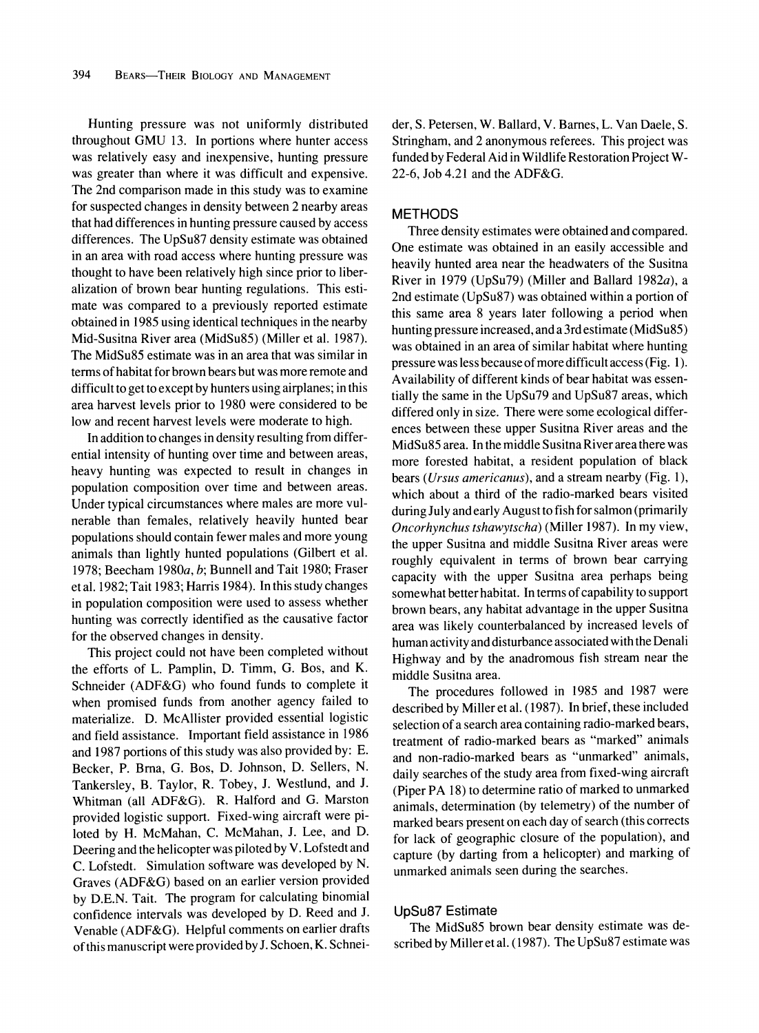**Hunting pressure was not uniformly distributed throughout GMU 13. In portions where hunter access was relatively easy and inexpensive, hunting pressure was greater than where it was difficult and expensive. The 2nd comparison made in this study was to examine for suspected changes in density between 2 nearby areas that had differences in hunting pressure caused by access differences. The UpSu87 density estimate was obtained in an area with road access where hunting pressure was thought to have been relatively high since prior to liberalization of brown bear hunting regulations. This estimate was compared to a previously reported estimate obtained in 1985 using identical techniques in the nearby Mid-Susitna River area (MidSu85) (Miller et al. 1987). The MidSu85 estimate was in an area that was similar in terms of habitat for brown bears but was more remote and difficult to get to except by hunters using airplanes; in this area harvest levels prior to 1980 were considered to be low and recent harvest levels were moderate to high.** 

**In addition to changes in density resulting from differential intensity of hunting over time and between areas, heavy hunting was expected to result in changes in population composition over time and between areas. Under typical circumstances where males are more vulnerable than females, relatively heavily hunted bear populations should contain fewer males and more young animals than lightly hunted populations (Gilbert et al. 1978; Beecham 1980a, b; Bunnell and Tait 1980; Fraser et al. 1982; Tait 1983; Harris 1984). In this study changes in population composition were used to assess whether hunting was correctly identified as the causative factor for the observed changes in density.** 

**This project could not have been completed without the efforts of L. Pamplin, D. Timm, G. Bos, and K. Schneider (ADF&G) who found funds to complete it when promised funds from another agency failed to materialize. D. McAllister provided essential logistic and field assistance. Important field assistance in 1986 and 1987 portions of this study was also provided by: E. Becker, P. Bma, G. Bos, D. Johnson, D. Sellers, N. Tankersley, B. Taylor, R. Tobey, J. Westlund, and J. Whitman (all ADF&G). R. Halford and G. Marston provided logistic support. Fixed-wing aircraft were piloted by H. McMahan, C. McMahan, J. Lee, and D. Deering and the helicopter was piloted by V. Lofstedt and C. Lofstedt. Simulation software was developed by N. Graves (ADF&G) based on an earlier version provided by D.E.N. Tait. The program for calculating binomial confidence intervals was developed by D. Reed and J. Venable (ADF&G). Helpful comments on earlier drafts of this manuscript were provided by J. Schoen, K. Schnei-** der, S. Petersen, W. Ballard, V. Barnes, L. Van Daele, S. **Stringham, and 2 anonymous referees. This project was funded by Federal Aid in Wildlife Restoration Project W-22-6, Job 4.21 and the ADF&G.** 

### **METHODS**

**Three density estimates were obtained and compared. One estimate was obtained in an easily accessible and heavily hunted area near the headwaters of the Susitna River in 1979 (UpSu79) (Miller and Ballard 1982a), a 2nd estimate (UpSu87) was obtained within a portion of this same area 8 years later following a period when hunting pressure increased, and a 3rd estimate (MidSu85) was obtained in an area of similar habitat where hunting pressure was less because of more difficult access (Fig. 1). Availability of different kinds of bear habitat was essentially the same in the UpSu79 and UpSu87 areas, which differed only in size. There were some ecological differences between these upper Susitna River areas and the MidSu85 area. In the middle Susitna River area there was more forested habitat, a resident population of black bears (Ursus americanus), and a stream nearby (Fig. 1), which about a third of the radio-marked bears visited during July and early August to fish for salmon (primarily Oncorhynchus tshawytscha) (Miller 1987). In my view, the upper Susitna and middle Susitna River areas were roughly equivalent in terms of brown bear carrying capacity with the upper Susitna area perhaps being somewhat better habitat. In terms of capability to support brown bears, any habitat advantage in the upper Susitna area was likely counterbalanced by increased levels of human activity and disturbance associated with the Denali Highway and by the anadromous fish stream near the middle Susitna area.** 

**The procedures followed in 1985 and 1987 were described by Miller et al. (1987). In brief, these included selection of a search area containing radio-marked bears, treatment of radio-marked bears as "marked" animals and non-radio-marked bears as "unmarked" animals, daily searches of the study area from fixed-wing aircraft (Piper PA 18) to determine ratio of marked to unmarked animals, determination (by telemetry) of the number of marked bears present on each day of search (this corrects for lack of geographic closure of the population), and capture (by darting from a helicopter) and marking of unmarked animals seen during the searches.** 

#### **UpSu87 Estimate**

**The MidSu85 brown bear density estimate was described by Miller et al. (1987). The UpSu87 estimate was**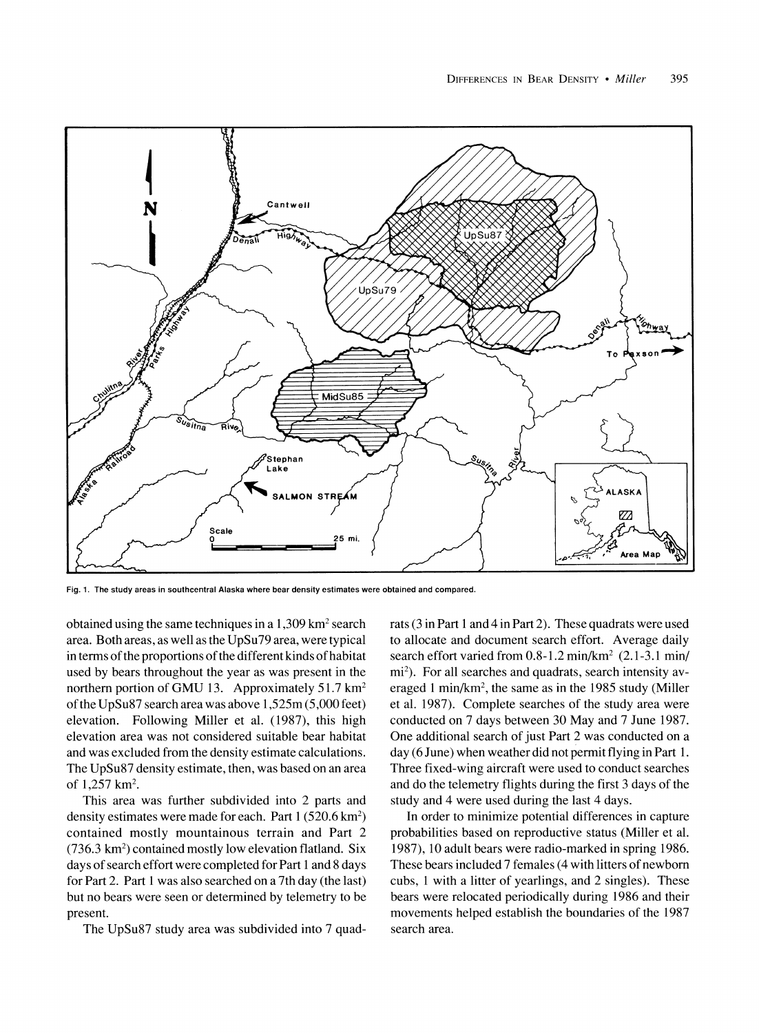

**Fig. 1. The study areas in southcentral Alaska where bear density estimates were obtained and compared.** 

**obtained using the same techniques in a 1,309 km2 search area. Both areas, as well as the UpSu79 area, were typical in terms of the proportions of the different kinds of habitat used by bears throughout the year as was present in the northern portion of GMU 13. Approximately 51.7 km2 of the UpSu87 search area was above 1,525m (5,000 feet) elevation. Following Miller et al. (1987), this high elevation area was not considered suitable bear habitat and was excluded from the density estimate calculations. The UpSu87 density estimate, then, was based on an area of 1,257 km2.** 

**This area was further subdivided into 2 parts and density estimates were made for each. Part 1 (520.6 km2) contained mostly mountainous terrain and Part 2 (736.3 km2) contained mostly low elevation flatland. Six days of search effort were completed for Part 1 and 8 days for Part 2. Part 1 was also searched on a 7th day (the last) but no bears were seen or determined by telemetry to be present.** 

**The UpSu87 study area was subdivided into 7 quad-**

**rats (3 in Part 1 and 4 in Part 2). These quadrats were used to allocate and document search effort. Average daily search effort varied from 0.8-1.2 min/km2 (2.1-3.1 min/**  mi<sup>2</sup>). For all searches and quadrats, search intensity av**eraged 1 min/km2, the same as in the 1985 study (Miller et al. 1987). Complete searches of the study area were conducted on 7 days between 30 May and 7 June 1987. One additional search of just Part 2 was conducted on a day (6 June) when weather did not permit flying in Part 1. Three fixed-wing aircraft were used to conduct searches and do the telemetry flights during the first 3 days of the study and 4 were used during the last 4 days.** 

**In order to minimize potential differences in capture probabilities based on reproductive status (Miller et al. 1987), 10 adult bears were radio-marked in spring 1986. These bears included 7 females (4 with litters of newborn cubs, 1 with a litter of yearlings, and 2 singles). These bears were relocated periodically during 1986 and their movements helped establish the boundaries of the 1987 search area.**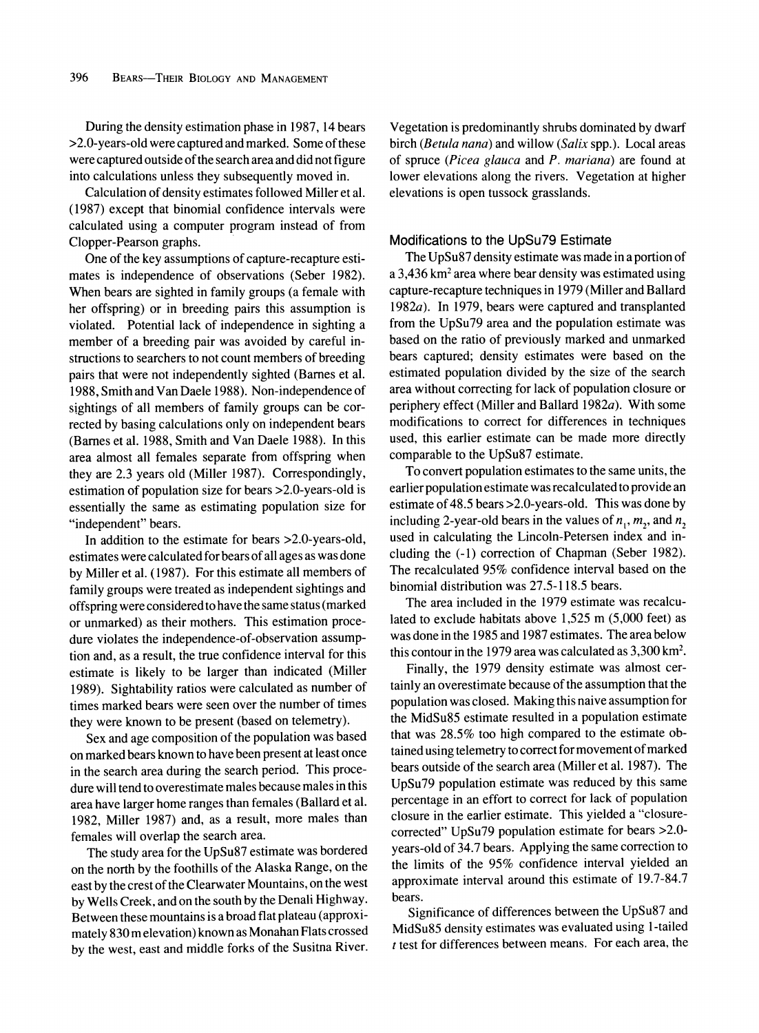**During the density estimation phase in 1987, 14 bears >2.0-years-old were captured and marked. Some of these were captured outside of the search area and did not figure into calculations unless they subsequently moved in.** 

**Calculation of density estimates followed Miller et al. (1987) except that binomial confidence intervals were calculated using a computer program instead of from Clopper-Pearson graphs.** 

**One of the key assumptions of capture-recapture estimates is independence of observations (Seber 1982). When bears are sighted in family groups (a female with her offspring) or in breeding pairs this assumption is violated. Potential lack of independence in sighting a member of a breeding pair was avoided by careful instructions to searchers to not count members of breeding pairs that were not independently sighted (Barnes et al. 1988, Smith and Van Daele 1988). Non-independence of sightings of all members of family groups can be corrected by basing calculations only on independent bears (Barnes et al. 1988, Smith and Van Daele 1988). In this area almost all females separate from offspring when they are 2.3 years old (Miller 1987). Correspondingly, estimation of population size for bears >2.0-years-old is essentially the same as estimating population size for "independent" bears.** 

**In addition to the estimate for bears >2.0-years-old, estimates were calculated for bears of all ages as was done by Miller et al. (1987). For this estimate all members of family groups were treated as independent sightings and offspring were considered to have the same status (marked or unmarked) as their mothers. This estimation procedure violates the independence-of-observation assumption and, as a result, the true confidence interval for this estimate is likely to be larger than indicated (Miller 1989). Sightability ratios were calculated as number of times marked bears were seen over the number of times they were known to be present (based on telemetry).** 

**Sex and age composition of the population was based on marked bears known to have been present at least once in the search area during the search period. This procedure will tend to overestimate males because males in this area have larger home ranges than females (Ballard et al. 1982, Miller 1987) and, as a result, more males than females will overlap the search area.** 

**The study area for the UpSu87 estimate was bordered on the north by the foothills of the Alaska Range, on the east by the crest of the Clearwater Mountains, on the west by Wells Creek, and on the south by the Denali Highway. Between these mountains is a broad flat plateau (approximately 830 m elevation) known as Monahan Flats crossed by the west, east and middle forks of the Susitna River.** 

**Vegetation is predominantly shrubs dominated by dwarf birch (Betula nana) and willow (Salix spp.). Local areas of spruce (Picea glauca and P. mariana) are found at lower elevations along the rivers. Vegetation at higher elevations is open tussock grasslands.** 

#### **Modifications to the UpSu79 Estimate**

**The UpSu87 density estimate was made in a portion of a 3,436 km2 area where bear density was estimated using capture-recapture techniques in 1979 (Miller and Ballard 1982a). In 1979, bears were captured and transplanted from the UpSu79 area and the population estimate was based on the ratio of previously marked and unmarked bears captured; density estimates were based on the estimated population divided by the size of the search area without correcting for lack of population closure or periphery effect (Miller and Ballard 1982a). With some modifications to correct for differences in techniques used, this earlier estimate can be made more directly comparable to the UpSu87 estimate.** 

**To convert population estimates to the same units, the earlier population estimate was recalculated to provide an estimate of 48.5 bears >2.0-years-old. This was done by**  including 2-year-old bears in the values of  $n_1$ ,  $m_2$ , and  $n_2$ **used in calculating the Lincoln-Petersen index and including the (-1) correction of Chapman (Seber 1982). The recalculated 95% confidence interval based on the binomial distribution was 27.5-118.5 bears.** 

**The area included in the 1979 estimate was recalculated to exclude habitats above 1,525 m (5,000 feet) as was done in the 1985 and 1987 estimates. The area below this contour in the 1979 area was calculated as 3,300 km2.** 

**Finally, the 1979 density estimate was almost certainly an overestimate because of the assumption that the population was closed. Making this naive assumption for the MidSu85 estimate resulted in a population estimate that was 28.5% too high compared to the estimate obtained using telemetry to correct for movement of marked bears outside of the search area (Miller et al. 1987). The UpSu79 population estimate was reduced by this same percentage in an effort to correct for lack of population closure in the earlier estimate. This yielded a "closurecorrected" UpSu79 population estimate for bears >2.0 years-old of 34.7 bears. Applying the same correction to the limits of the 95% confidence interval yielded an approximate interval around this estimate of 19.7-84.7 bears.** 

**Significance of differences between the UpSu87 and MidSu85 density estimates was evaluated using 1-tailed t test for differences between means. For each area, the**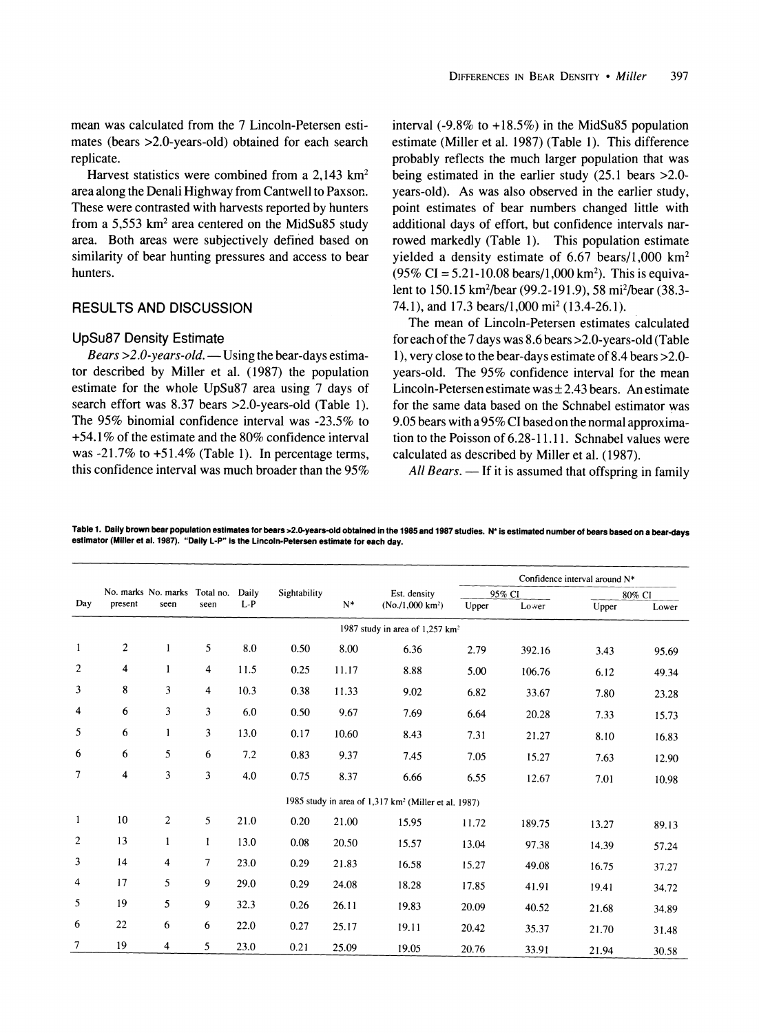**mean was calculated from the 7 Lincoln-Petersen estimates (bears >2.0-years-old) obtained for each search replicate.** 

**Harvest statistics were combined from a 2,143 km2 area along the Denali Highway from Cantwell to Paxson. These were contrasted with harvests reported by hunters from a 5,553 km2 area centered on the MidSu85 study area. Both areas were subjectively defined based on similarity of bear hunting pressures and access to bear hunters.** 

## **RESULTS AND DISCUSSION**

#### **UpSu87 Density Estimate**

Bears > 2.0-years-old. — Using the bear-days estima**tor described by Miller et al. (1987) the population estimate for the whole UpSu87 area using 7 days of search effort was 8.37 bears >2.0-years-old (Table 1). The 95% binomial confidence interval was -23.5% to +54.1% of the estimate and the 80% confidence interval was -21.7% to +51.4% (Table 1). In percentage terms, this confidence interval was much broader than the 95%**  **interval (-9.8% to +18.5%) in the MidSu85 population estimate (Miller et al. 1987) (Table 1). This difference probably reflects the much larger population that was being estimated in the earlier study (25.1 bears >2.0 years-old). As was also observed in the earlier study, point estimates of bear numbers changed little with additional days of effort, but confidence intervals narrowed markedly (Table 1). This population estimate yielded a density estimate of 6.67 bears/1,000 km2 (95% CI = 5.21-10.08 bears/1,000 km2). This is equivalent to 150.15 km2/bear (99.2-191.9), 58 mi2/bear (38.3- 74.1), and 17.3 bears/1,000 mi2 (13.4-26.1).** 

**The mean of Lincoln-Petersen estimates calculated for each of the 7 days was 8.6 bears >2.0-years-old (Table 1), very close to the bear-days estimate of 8.4 bears >2.0 years-old. The 95% confidence interval for the mean**  Lincoln-Petersen estimate was  $\pm$  2.43 bears. An estimate **for the same data based on the Schnabel estimator was 9.05 bears with a 95% CI based on the normal approximation to the Poisson of 6.28-11.11. Schnabel values were calculated as described by Miller et al. (1987).** 

All Bears. — If it is assumed that offspring in family

**Table 1. Daily brown bear population estimates for bears >2.0-years-old obtained in the 1985 and 1987 studies. N\* is estimated number of bears based on a bear-days estimator (Miller et al. 1987). "Daily L-P" is the Lincoln-Petersen estimate for each day.** 

|                                             |                | No. marks No. marks Total no.<br>seen | seen | Daily<br>$L-P$ | Sightability | $N^*$ | Est. density                                                     | Confidence interval around N* |        |        |       |  |
|---------------------------------------------|----------------|---------------------------------------|------|----------------|--------------|-------|------------------------------------------------------------------|-------------------------------|--------|--------|-------|--|
| Day                                         |                |                                       |      |                |              |       |                                                                  | 95% CI                        |        | 80% CI |       |  |
|                                             | present        |                                       |      |                |              |       | (No. / 1,000 km <sup>2</sup> )                                   | Upper                         | Lower  | Upper  | Lower |  |
| 1987 study in area of 1,257 km <sup>2</sup> |                |                                       |      |                |              |       |                                                                  |                               |        |        |       |  |
| $\mathbf{1}$                                | $\overline{c}$ | 1                                     | 5    | 8.0            | 0.50         | 8.00  | 6.36                                                             | 2.79                          | 392.16 | 3.43   | 95.69 |  |
| $\overline{c}$                              | 4              | 1                                     | 4    | 11.5           | 0.25         | 11.17 | 8.88                                                             | 5.00                          | 106.76 | 6.12   | 49.34 |  |
| 3                                           | 8              | 3                                     | 4    | 10.3           | 0.38         | 11.33 | 9.02                                                             | 6.82                          | 33.67  | 7.80   | 23.28 |  |
| 4                                           | 6              | 3                                     | 3    | 6.0            | 0.50         | 9.67  | 7.69                                                             | 6.64                          | 20.28  | 7.33   | 15.73 |  |
| 5                                           | 6              |                                       | 3    | 13.0           | 0.17         | 10.60 | 8.43                                                             | 7.31<br>21.27                 |        | 8.10   | 16.83 |  |
| 6                                           | 6              | 5                                     | 6    | 7.2            | 0.83         | 9.37  | 7.45                                                             | 7.05                          | 15.27  | 7.63   | 12.90 |  |
| 7                                           | $\overline{4}$ | 3                                     | 3    | 4.0            | 0.75         | 8.37  | 6.66                                                             | 6.55                          | 12.67  | 7.01   | 10.98 |  |
|                                             |                |                                       |      |                |              |       | 1985 study in area of 1,317 km <sup>2</sup> (Miller et al. 1987) |                               |        |        |       |  |
| $\mathbf{1}$                                | 10             | $\overline{c}$                        | 5    | 21.0           | 0.20         | 21.00 | 15.95                                                            | 11.72                         | 189.75 | 13.27  | 89.13 |  |
| $\overline{2}$                              | 13             | 1                                     | 1    | 13.0           | 0.08         | 20.50 | 15.57                                                            | 13.04                         | 97.38  | 14.39  | 57.24 |  |
| 3                                           | 14             | 4                                     | 7    | 23.0           | 0.29         | 21.83 | 16.58                                                            | 15.27                         | 49.08  | 16.75  | 37.27 |  |
| $\overline{\mathbf{4}}$                     | 17             | 5                                     | 9    | 29.0           | 0.29         | 24.08 | 18.28                                                            | 17.85                         | 41.91  | 19.41  | 34.72 |  |
| 5                                           | 19             | 5                                     | 9    | 32.3           | 0.26         | 26.11 | 19.83                                                            | 20.09                         | 40.52  | 21.68  | 34.89 |  |
| 6                                           | 22             | 6                                     | 6    | 22.0           | 0.27         | 25.17 | 19.11                                                            | 20.42                         | 35.37  | 21.70  | 31.48 |  |
| 7                                           | 19             | 4                                     | 5    | 23.0           | 0.21         | 25.09 | 19.05                                                            | 20.76                         | 33.91  | 21.94  | 30.58 |  |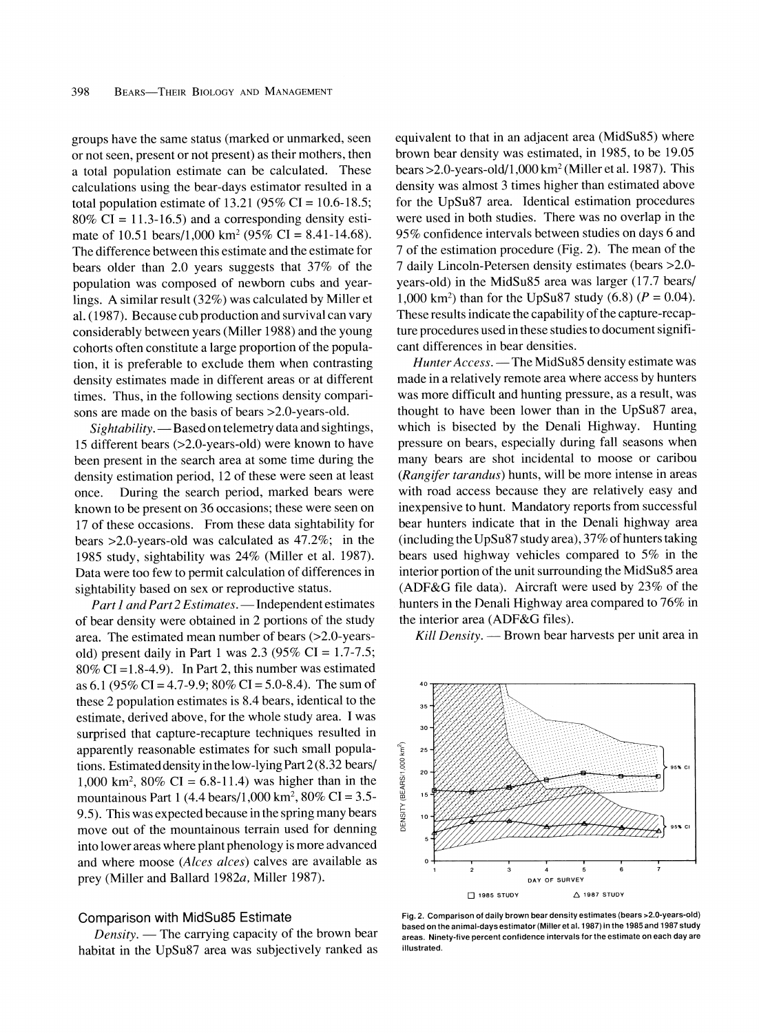**groups have the same status (marked or unmarked, seen or not seen, present or not present) as their mothers, then a total population estimate can be calculated. These calculations using the bear-days estimator resulted in a total population estimate of 13.21 (95% CI = 10.6-18.5; 80% CI = 11.3-16.5) and a corresponding density estimate of 10.51 bears/1,000 km2 (95% CI = 8.41-14.68). The difference between this estimate and the estimate for bears older than 2.0 years suggests that 37% of the population was composed of newborn cubs and yearlings. A similar result (32%) was calculated by Miller et al. (1987). Because cub production and survival can vary considerably between years (Miller 1988) and the young cohorts often constitute a large proportion of the population, it is preferable to exclude them when contrasting density estimates made in different areas or at different times. Thus, in the following sections density comparisons are made on the basis of bears >2.0-years-old.** 

Sightability. - Based on telemetry data and sightings, **15 different bears (>2.0-years-old) were known to have been present in the search area at some time during the density estimation period, 12 of these were seen at least once. During the search period, marked bears were known to be present on 36 occasions; these were seen on 17 of these occasions. From these data sightability for bears >2.0-years-old was calculated as 47.2%; in the 1985 study, sightability was 24% (Miller et al. 1987). Data were too few to permit calculation of differences in sightability based on sex or reproductive status.** 

Part 1 and Part 2 Estimates. - Independent estimates **of bear density were obtained in 2 portions of the study area. The estimated mean number of bears (>2.0-yearsold) present daily in Part 1 was 2.3 (95% CI = 1.7-7.5; 80% CI =1.8-4.9). In Part 2, this number was estimated as 6.1 (95% CI = 4.7-9.9; 80% CI = 5.0-8.4). The sum of these 2 population estimates is 8.4 bears, identical to the estimate, derived above, for the whole study area. I was surprised that capture-recapture techniques resulted in apparently reasonable estimates for such small populations. Estimated density in the low-lying Part 2 (8.32 bears/ 1,000 km2, 80% CI = 6.8-11.4) was higher than in the mountainous Part 1 (4.4 bears/1,000 km2, 80% CI = 3.5- 9.5). This was expected because in the spring many bears move out of the mountainous terrain used for denning into lower areas where plant phenology is more advanced and where moose (Alces alces) calves are available as prey (Miller and Ballard 1982a, Miller 1987).** 

#### **Comparison with MidSu85 Estimate**

Density. — The carrying capacity of the brown bear **habitat in the UpSu87 area was subjectively ranked as**  **equivalent to that in an adjacent area (MidSu85) where brown bear density was estimated, in 1985, to be 19.05 bears >2.0-years-old/1,000 km2 (Miller et al. 1987). This density was almost 3 times higher than estimated above for the UpSu87 area. Identical estimation procedures were used in both studies. There was no overlap in the 95% confidence intervals between studies on days 6 and 7 of the estimation procedure (Fig. 2). The mean of the 7 daily Lincoln-Petersen density estimates (bears >2.0 years-old) in the MidSu85 area was larger (17.7 bears/**  1,000 km<sup>2</sup>) than for the UpSu87 study  $(6.8)$   $(P = 0.04)$ . **These results indicate the capability of the capture-recapture procedures used in these studies to document significant differences in bear densities.** 

Hunter Access. - The MidSu85 density estimate was **made in a relatively remote area where access by hunters was more difficult and hunting pressure, as a result, was thought to have been lower than in the UpSu87 area, which is bisected by the Denali Highway. Hunting pressure on bears, especially during fall seasons when many bears are shot incidental to moose or caribou (Rangifer tarandus) hunts, will be more intense in areas with road access because they are relatively easy and inexpensive to hunt. Mandatory reports from successful bear hunters indicate that in the Denali highway area (including the UpSu87 study area), 37% of hunters taking bears used highway vehicles compared to 5% in the interior portion of the unit surrounding the MidSu85 area (ADF&G file data). Aircraft were used by 23% of the hunters in the Denali Highway area compared to 76% in the interior area (ADF&G files).** 

Kill Density. — Brown bear harvests per unit area in



**Fig. 2. Comparison of daily brown bear density estimates (bears >2.0-years-old) based on the animal-days estimator (Miller et al. 1987) in the 1985 and 1987 study areas. Ninety-five percent confidence intervals for the estimate on each day are illustrated.**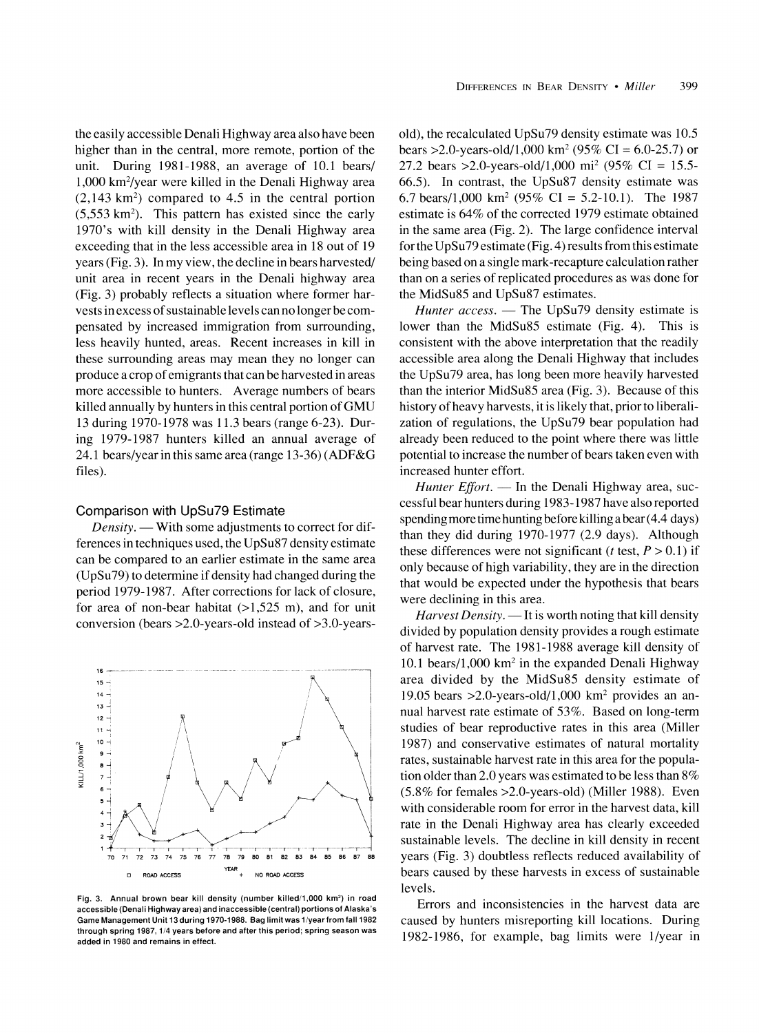**the easily accessible Denali Highway area also have been higher than in the central, more remote, portion of the unit. During 1981-1988, an average of 10.1 bears/ 1,000 km2/year were killed in the Denali Highway area (2,143 km2) compared to 4.5 in the central portion (5,553 km2). This pattern has existed since the early 1970's with kill density in the Denali Highway area exceeding that in the less accessible area in 18 out of 19 years (Fig. 3). In my view, the decline in bears harvested/ unit area in recent years in the Denali highway area (Fig. 3) probably reflects a situation where former harvests in excess of sustainable levels can no longer be compensated by increased immigration from surrounding, less heavily hunted, areas. Recent increases in kill in these surrounding areas may mean they no longer can produce a crop of emigrants that can be harvested in areas more accessible to hunters. Average numbers of bears killed annually by hunters in this central portion of GMU 13 during 1970-1978 was 11.3 bears (range 6-23). During 1979-1987 hunters killed an annual average of 24.1 bears/year in this same area (range 13-36) (ADF&G files).** 

#### **Comparison with UpSu79 Estimate**

Density. — With some adjustments to correct for dif**ferences in techniques used, the UpSu87 density estimate can be compared to an earlier estimate in the same area (UpSu79) to determine if density had changed during the period 1979-1987. After corrections for lack of closure,**  for area of non-bear habitat  $(>1,525 \text{ m})$ , and for unit **conversion (bears >2.0-years-old instead of >3.0-years-**



**Fig. 3. Annual brown bear kill density (number killed/1,000 km2) in road accessible (Denali Highway area) and inaccessible (central) portions of Alaska's Game Management Unit 13 during 1970-1988. Bag limit was 1/year from fall 1982 through spring 1987, 1/4 years before and after this period; spring season was added in 1980 and remains in effect.** 

**old), the recalculated UpSu79 density estimate was 10.5 bears >2.0-years-old/1,000 km2 (95% CI = 6.0-25.7) or 27.2 bears >2.0-years-old/1,000 mi2 (95% CI = 15.5- 66.5). In contrast, the UpSu87 density estimate was 6.7 bears/i,000 km2 (95% CI = 5.2-10.1). The 1987 estimate is 64% of the corrected 1979 estimate obtained in the same area (Fig. 2). The large confidence interval for the UpSu79 estimate (Fig. 4) results from this estimate being based on a single mark-recapture calculation rather than on a series of replicated procedures as was done for the MidSu85 and UpSu87 estimates.** 

Hunter access. — The UpSu79 density estimate is **lower than the MidSu85 estimate (Fig. 4). This is consistent with the above interpretation that the readily accessible area along the Denali Highway that includes the UpSu79 area, has long been more heavily harvested than the interior MidSu85 area (Fig. 3). Because of this history of heavy harvests, it is likely that, prior to liberalization of regulations, the UpSu79 bear population had already been reduced to the point where there was little potential to increase the number of bears taken even with increased hunter effort.** 

Hunter *Effort*. — In the Denali Highway area, suc**cessful bear hunters during 1983-1987 have also reported spending more time hunting before killing a bear (4.4 days) than they did during 1970-1977 (2.9 days). Although**  these differences were not significant (*t* test,  $P > 0.1$ ) if **only because of high variability, they are in the direction that would be expected under the hypothesis that bears were declining in this area.** 

Harvest Density. — It is worth noting that kill density **divided by population density provides a rough estimate of harvest rate. The 1981-1988 average kill density of 10.1 bears/I,000 km2 in the expanded Denali Highway area divided by the MidSu85 density estimate of 19.05 bears >2.0-years-old/1,000 km2 provides an annual harvest rate estimate of 53%. Based on long-term studies of bear reproductive rates in this area (Miller 1987) and conservative estimates of natural mortality rates, sustainable harvest rate in this area for the population older than 2.0 years was estimated to be less than 8% (5.8% for females >2.0-years-old) (Miller 1988). Even with considerable room for error in the harvest data, kill rate in the Denali Highway area has clearly exceeded sustainable levels. The decline in kill density in recent years (Fig. 3) doubtless reflects reduced availability of bears caused by these harvests in excess of sustainable levels.** 

**Errors and inconsistencies in the harvest data are caused by hunters misreporting kill locations. During 1982-1986, for example, bag limits were 1/year in**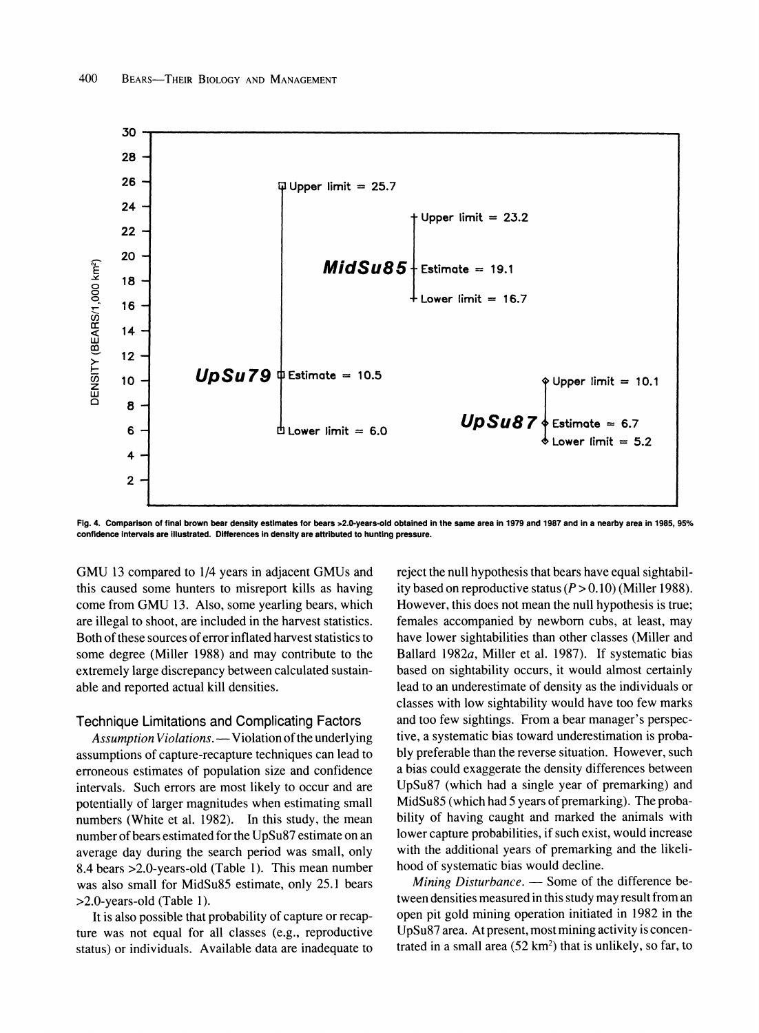

**Fig. 4. Comparison of final brown bear density estimates for bears 2.0-years-old obtained in the same area in 1979 and 1987 and in a nearby area in 1985, 95% confidence intervals are illustrated. Differences in density are attributed to hunting pressure.** 

**GMU 13 compared to 1/4 years in adjacent GMUs and this caused some hunters to misreport kills as having come from GMU 13. Also, some yearling bears, which are illegal to shoot, are included in the harvest statistics. Both of these sources of error inflated harvest statistics to some degree (Miller 1988) and may contribute to the extremely large discrepancy between calculated sustainable and reported actual kill densities.** 

#### **Technique Limitations and Complicating Factors**

**Assumption Violations. - Violation of the underlying assumptions of capture-recapture techniques can lead to erroneous estimates of population size and confidence intervals. Such errors are most likely to occur and are potentially of larger magnitudes when estimating small numbers (White et al. 1982). In this study, the mean number of bears estimated for the UpSu87 estimate on an average day during the search period was small, only 8.4 bears >2.0-years-old (Table 1). This mean number was also small for MidSu85 estimate, only 25.1 bears >2.0-years-old (Table 1).** 

**It is also possible that probability of capture or recapture was not equal for all classes (e.g., reproductive status) or individuals. Available data are inadequate to**  **reject the null hypothesis that bears have equal sightabil**ity based on reproductive status  $(P > 0.10)$  (Miller 1988). **However, this does not mean the null hypothesis is true; females accompanied by newborn cubs, at least, may have lower sightabilities than other classes (Miller and Ballard 1982a, Miller et al. 1987). If systematic bias based on sightability occurs, it would almost certainly lead to an underestimate of density as the individuals or classes with low sightability would have too few marks and too few sightings. From a bear manager's perspective, a systematic bias toward underestimation is probably preferable than the reverse situation. However, such a bias could exaggerate the density differences between UpSu87 (which had a single year of premarking) and MidSu85 (which had 5 years of premarking). The probability of having caught and marked the animals with lower capture probabilities, if such exist, would increase with the additional years of premarking and the likelihood of systematic bias would decline.** 

Mining Disturbance. — Some of the difference be**tween densities measured in this study may result from an open pit gold mining operation initiated in 1982 in the UpSu87 area. At present, most mining activity is concentrated in a small area (52 km2) that is unlikely, so far, to**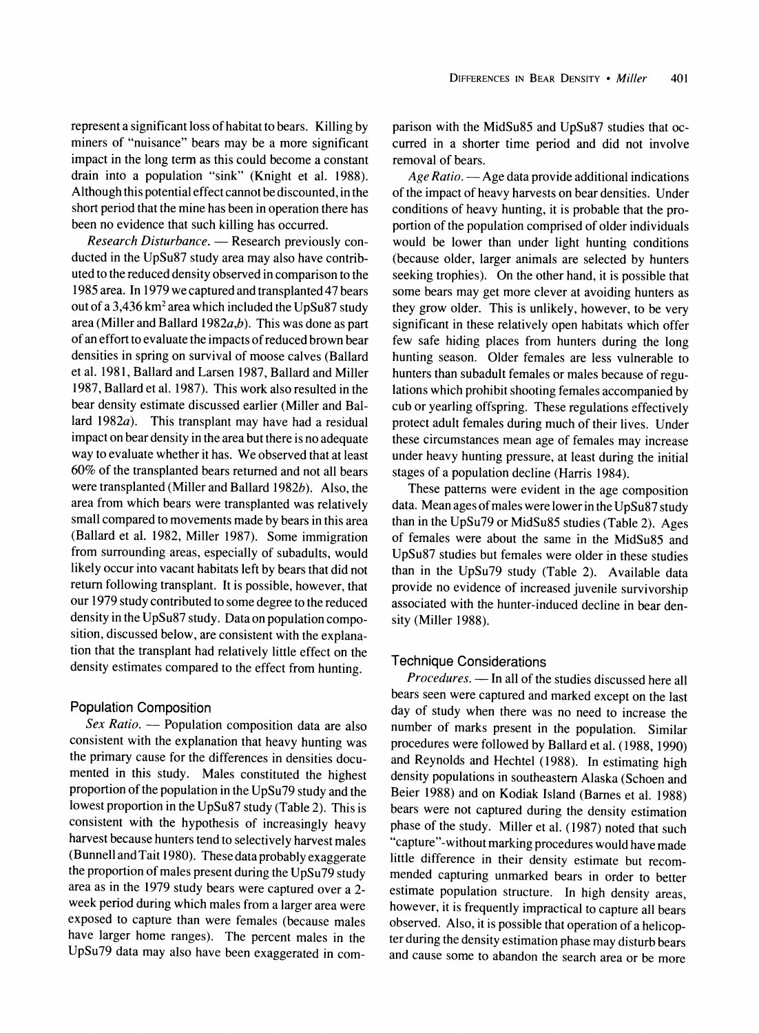**represent a significant loss of habitat to bears. Killing by miners of "nuisance" bears may be a more significant impact in the long term as this could become a constant drain into a population "sink" (Knight et al. 1988). Although this potential effect cannot be discounted, in the short period that the mine has been in operation there has been no evidence that such killing has occurred.** 

Research Disturbance. - Research previously con**ducted in the UpSu87 study area may also have contributed to the reduced density observed in comparison to the 1985 area. In 1979 we captured and transplanted 47 bears out of a 3,436 km2 area which included the UpSu87 study area (Miller and Ballard 1982a,b). This was done as part of an effort to evaluate the impacts of reduced brown bear densities in spring on survival of moose calves (Ballard et al. 1981, Ballard and Larsen 1987, Ballard and Miller 1987, Ballard et al. 1987). This work also resulted in the bear density estimate discussed earlier (Miller and Ballard 1982a). This transplant may have had a residual impact on bear density in the area but there is no adequate way to evaluate whether it has. We observed that at least 60% of the transplanted bears returned and not all bears were transplanted (Miller and Ballard 1982b). Also, the area from which bears were transplanted was relatively small compared to movements made by bears in this area (Ballard et al. 1982, Miller 1987). Some immigration from surrounding areas, especially of subadults, would likely occur into vacant habitats left by bears that did not return following transplant. It is possible, however, that our 1979 study contributed to some degree to the reduced density in the UpSu87 study. Data on population composition, discussed below, are consistent with the explanation that the transplant had relatively little effect on the density estimates compared to the effect from hunting.** 

## **Population Composition**

Sex Ratio. - Population composition data are also **consistent with the explanation that heavy hunting was the primary cause for the differences in densities documented in this study. Males constituted the highest proportion of the population in the UpSu79 study and the lowest proportion in the UpSu87 study (Table 2). This is consistent with the hypothesis of increasingly heavy harvest because hunters tend to selectively harvest males (Bunnell and Tait 1980). These data probably exaggerate the proportion of males present during the UpSu79 study area as in the 1979 study bears were captured over a 2 week period during which males from a larger area were exposed to capture than were females (because males have larger home ranges). The percent males in the UpSu79 data may also have been exaggerated in com-** **parison with the MidSu85 and UpSu87 studies that occurred in a shorter time period and did not involve removal of bears.** 

**Age Ratio. - Age data provide additional indications of the impact of heavy harvests on bear densities. Under conditions of heavy hunting, it is probable that the proportion of the population comprised of older individuals would be lower than under light hunting conditions (because older, larger animals are selected by hunters seeking trophies). On the other hand, it is possible that some bears may get more clever at avoiding hunters as they grow older. This is unlikely, however, to be very significant in these relatively open habitats which offer few safe hiding places from hunters during the long hunting season. Older females are less vulnerable to hunters than subadult females or males because of regulations which prohibit shooting females accompanied by cub or yearling offspring. These regulations effectively protect adult females during much of their lives. Under these circumstances mean age of females may increase under heavy hunting pressure, at least during the initial stages of a population decline (Harris 1984).** 

**These patterns were evident in the age composition data. Mean ages of males were lower in the UpSu87 study than in the UpSu79 or MidSu85 studies (Table 2). Ages of females were about the same in the MidSu85 and UpSu87 studies but females were older in these studies than in the UpSu79 study (Table 2). Available data provide no evidence of increased juvenile survivorship associated with the hunter-induced decline in bear density (Miller 1988).** 

## **Technique Considerations**

**Procedures. - In all of the studies discussed here all bears seen were captured and marked except on the last day of study when there was no need to increase the number of marks present in the population. Similar procedures were followed by Ballard et al. (1988, 1990) and Reynolds and Hechtel (1988). In estimating high density populations in southeastern Alaska (Schoen and Beier 1988) and on Kodiak Island (Barnes et al. 1988) bears were not captured during the density estimation phase of the study. Miller et al. (1987) noted that such "capture"-without marking procedures would have made little difference in their density estimate but recommended capturing unmarked bears in order to better estimate population structure. In high density areas, however, it is frequently impractical to capture all bears observed. Also, it is possible that operation of a helicopter during the density estimation phase may disturb bears and cause some to abandon the search area or be more**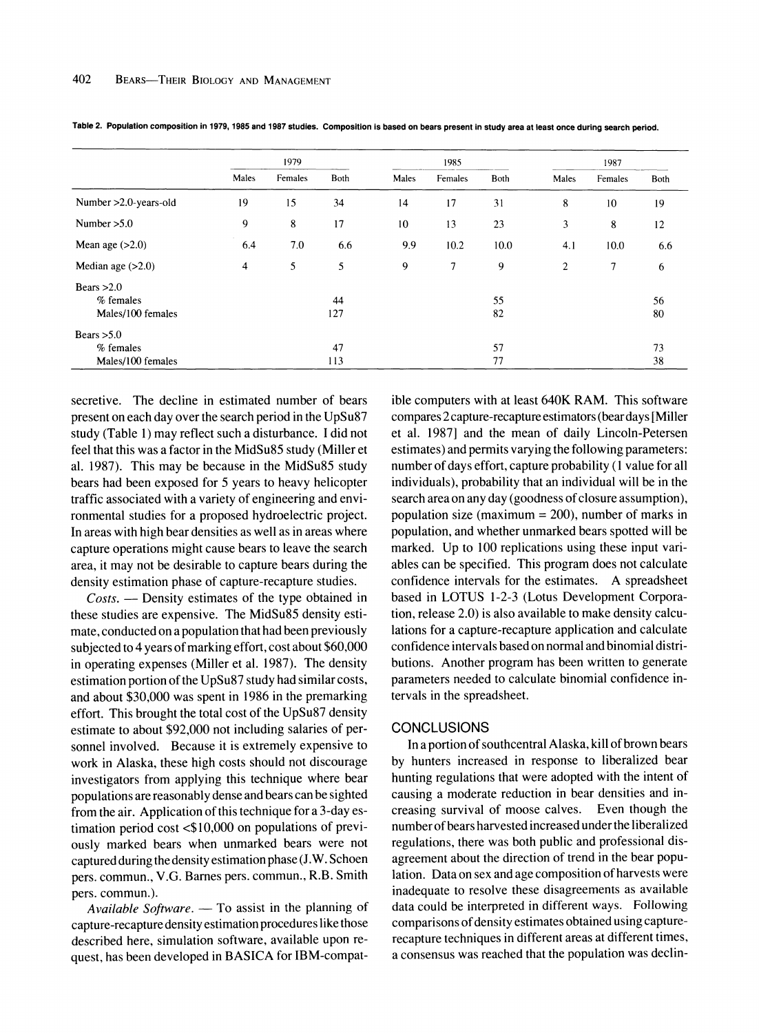|                                                  | 1979  |         |           | 1985  |         |          | 1987           |         |          |
|--------------------------------------------------|-------|---------|-----------|-------|---------|----------|----------------|---------|----------|
|                                                  | Males | Females | Both      | Males | Females | Both     | Males          | Females | Both     |
| Number > 2.0-years-old                           | 19    | 15      | 34        | 14    | 17      | 31       | 8              | 10      | 19       |
| Number $>5.0$                                    | 9     | 8       | 17        | 10    | 13      | 23       | 3              | 8       | 12       |
| Mean age $(>2.0)$                                | 6.4   | 7.0     | 6.6       | 9.9   | 10.2    | 10.0     | 4.1            | 10.0    | 6.6      |
| Median age $(>2.0)$                              | 4     | 5       | 5         | 9     | 7       | 9        | $\overline{2}$ | 7       | 6        |
| Bears $>2.0$<br>$%$ females<br>Males/100 females |       |         | 44<br>127 |       |         | 55<br>82 |                |         | 56<br>80 |
| Bears $>5.0$                                     |       |         |           |       |         |          |                |         |          |
| % females<br>Males/100 females                   |       |         | 47<br>113 |       |         | 57<br>77 |                |         | 73<br>38 |

**Table 2. Population composition in 1979, 1985 and 1987 studies. Composition is based on bears present in study area at least once during search period.** 

**secretive. The decline in estimated number of bears present on each day over the search period in the UpSu87 study (Table 1) may reflect such a disturbance. I did not feel that this was a factor in the MidSu85 study (Miller et al. 1987). This may be because in the MidSu85 study bears had been exposed for 5 years to heavy helicopter traffic associated with a variety of engineering and environmental studies for a proposed hydroelectric project. In areas with high bear densities as well as in areas where capture operations might cause bears to leave the search area, it may not be desirable to capture bears during the density estimation phase of capture-recapture studies.** 

**Costs. - Density estimates of the type obtained in these studies are expensive. The MidSu85 density estimate, conducted on a population that had been previously subjected to 4 years of marking effort, cost about \$60,000 in operating expenses (Miller et al. 1987). The density estimation portion of the UpSu87 study had similar costs, and about \$30,000 was spent in 1986 in the premarking effort. This brought the total cost of the UpSu87 density estimate to about \$92,000 not including salaries of personnel involved. Because it is extremely expensive to work in Alaska, these high costs should not discourage investigators from applying this technique where bear populations are reasonably dense and bears can be sighted from the air. Application of this technique for a 3-day estimation period cost <\$10,000 on populations of previously marked bears when unmarked bears were not captured during the density estimation phase (J.W. Schoen pers. commun., V.G. Barnes pers. commun., R.B. Smith pers. commun.).** 

Available Software. — To assist in the planning of **capture-recapture density estimation procedures like those described here, simulation software, available upon request, has been developed in BASICA for IBM-compat-**

**ible computers with at least 640K RAM. This software compares 2 capture-recapture estimators (bear days [Miller et al. 1987] and the mean of daily Lincoln-Petersen estimates) and permits varying the following parameters: number of days effort, capture probability (1 value for all individuals), probability that an individual will be in the search area on any day (goodness of closure assumption), population size (maximum = 200), number of marks in population, and whether unmarked bears spotted will be marked. Up to 100 replications using these input variables can be specified. This program does not calculate confidence intervals for the estimates. A spreadsheet based in LOTUS 1-2-3 (Lotus Development Corporation, release 2.0) is also available to make density calculations for a capture-recapture application and calculate confidence intervals based on normal and binomial distributions. Another program has been written to generate parameters needed to calculate binomial confidence intervals in the spreadsheet.** 

#### **CONCLUSIONS**

**In a portion of southcentral Alaska, kill of brown bears by hunters increased in response to liberalized bear hunting regulations that were adopted with the intent of causing a moderate reduction in bear densities and increasing survival of moose calves. Even though the number of bears harvested increased under the liberalized regulations, there was both public and professional disagreement about the direction of trend in the bear population. Data on sex and age composition of harvests were inadequate to resolve these disagreements as available data could be interpreted in different ways. Following comparisons of density estimates obtained using capturerecapture techniques in different areas at different times, a consensus was reached that the population was declin-**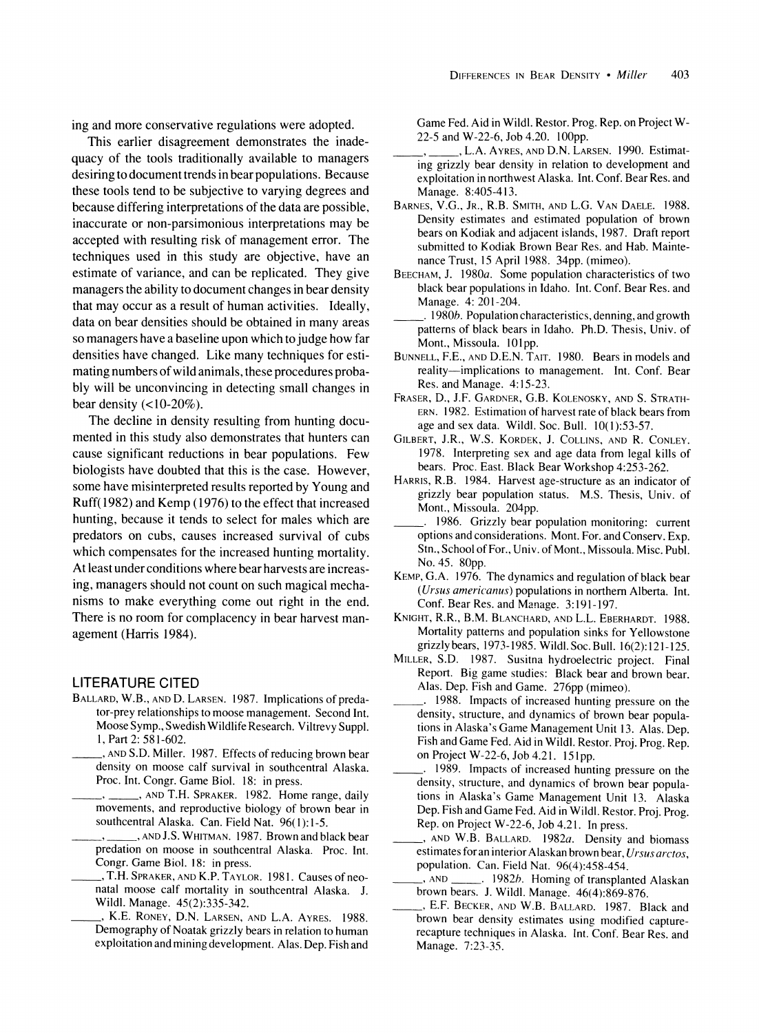**ing and more conservative regulations were adopted.** 

**This earlier disagreement demonstrates the inadequacy of the tools traditionally available to managers desiring to document trends in bear populations. Because these tools tend to be subjective to varying degrees and because differing interpretations of the data are possible, inaccurate or non-parsimonious interpretations may be accepted with resulting risk of management error. The techniques used in this study are objective, have an estimate of variance, and can be replicated. They give managers the ability to document changes in bear density that may occur as a result of human activities. Ideally, data on bear densities should be obtained in many areas so managers have a baseline upon which to judge how far densities have changed. Like many techniques for estimating numbers of wild animals, these procedures probably will be unconvincing in detecting small changes in bear density (<10-20%).** 

**The decline in density resulting from hunting documented in this study also demonstrates that hunters can cause significant reductions in bear populations. Few biologists have doubted that this is the case. However, some have misinterpreted results reported by Young and Ruff(1982) and Kemp (1976) to the effect that increased hunting, because it tends to select for males which are predators on cubs, causes increased survival of cubs which compensates for the increased hunting mortality. At least under conditions where bear harvests are increasing, managers should not count on such magical mechanisms to make everything come out right in the end. There is no room for complacency in bear harvest management (Harris 1984).** 

## **LITERATURE CITED**

- **BALLARD, W.B., AND D. LARSEN. 1987. Implications of predator-prey relationships to moose management. Second Int. Moose Symp., Swedish Wildlife Research. Viltrevy Suppl. 1, Part 2: 581-602.**
- **, AND S.D. Miller. 1987. Effects of reducing brown bear density on moose calf survival in southcentral Alaska. Proc. Int. Congr. Game Biol. 18: in press.** 
	- **, AND T.H. SPRAKER. 1982. Home range, daily movements, and reproductive biology of brown bear in southcentral Alaska. Can. Field Nat. 96(1):1-5.**
	- **\_\_\_ , , AND J.S. WHITMAN. 1987. Brown and black bear predation on moose in southcentral Alaska. Proc. Int. Congr. Game Biol. 18: in press.**
	- **, T.H. SPRAKER, AND K.P. TAYLOR. 1981. Causes of neonatal moose calf mortality in southcentral Alaska. J. Wildl. Manage. 45(2):335-342.**
	- **, K.E. RONEY, D.N. LARSEN, AND L.A. AYRES. 1988. Demography of Noatak grizzly bears in relation to human exploitation and mining development. Alas. Dep. Fish and**

**Game Fed. Aid in Wildl. Restor. Prog. Rep. on Project W-22-5 and W-22-6, Job 4.20. 100pp.** 

- **\_\_\_ \_\_ , , L.A. AYRES, AND D.N. LARSEN. 1990. Estimating grizzly bear density in relation to development and exploitation in northwest Alaska. Int. Conf. Bear Res. and Manage. 8:405-413.**
- **BARNES, V.G., JR., R.B. SMITH, AND L.G. VAN DAELE. 1988. Density estimates and estimated population of brown bears on Kodiak and adjacent islands, 1987. Draft report submitted to Kodiak Brown Bear Res. and Hab. Maintenance Trust, 15 April 1988. 34pp. (mimeo).**
- **BEECHAM, J. 1980a. Some population characteristics of two black bear populations in Idaho. Int. Conf. Bear Res. and Manage. 4: 201-204.**
- **\_ 1980b. Population characteristics, denning, and growth patterns of black bears in Idaho. Ph.D. Thesis, Univ. of Mont., Missoula. 101pp.**
- **BUNNELL, F.E., AND D.E.N. TAIT. 1980. Bears in models and reality-implications to management. Int. Conf. Bear Res. and Manage. 4:15-23.**
- **FRASER, D., J.F. GARDNER, G.B. KOLENOSKY, AND S. STRATH-ERN. 1982. Estimation of harvest rate of black bears from age and sex data. Wildl. Soc. Bull. 10(1):53-57.**
- **GILBERT, J.R., W.S. KORDEK, J. COLLINS, AND R. CONLEY. 1978. Interpreting sex and age data from legal kills of bears. Proc. East. Black Bear Workshop 4:253-262.**
- **HARRIS, R.B. 1984. Harvest age-structure as an indicator of grizzly bear population status. M.S. Thesis, Univ. of Mont., Missoula. 204pp.**
- **1986. Grizzly bear population monitoring: current options and considerations. Mont. For. and Conserv. Exp. Stn., School of For., Univ. of Mont., Missoula. Misc. Publ. No. 45. 80pp.**
- **KEMP, G.A. 1976. The dynamics and regulation of black bear (Ursus americanus) populations in northern Alberta. Int. Conf. Bear Res. and Manage. 3:191-197.**
- **KNIGHT, R.R., B.M. BLANCHARD, AND L.L. EBERHARDT. 1988. Mortality patterns and population sinks for Yellowstone grizzly bears, 1973-1985. Wildl. Soc. Bull. 16(2):121-125.**
- **MILLER, S.D. 1987. Susitna hydroelectric project. Final Report. Big game studies: Black bear and brown bear. Alas. Dep. Fish and Game. 276pp (mimeo).**
- **. 1988. Impacts of increased hunting pressure on the density, structure, and dynamics of brown bear populations in Alaska's Game Management Unit 13. Alas. Dep. Fish and Game Fed. Aid in Wildl. Restor. Proj. Prog. Rep. on Project W-22-6, Job 4.21. 151 pp.**
- **\_\_\_ . 1989. Impacts of increased hunting pressure on the density, structure, and dynamics of brown bear populations in Alaska's Game Management Unit 13. Alaska Dep. Fish and Game Fed. Aid in Wildl. Restor. Proj. Prog. Rep. on Project W-22-6, Job 4.21. In press.**
- **, AND W.B. BALLARD. 1982a. Density and biomass estimates for an interior Alaskan brown bear, Ursus arctos, population. Can. Field Nat. 96(4):458-454.**
- **\_ , AND . 1982b. Homing of transplanted Alaskan brown bears. J. Wildl. Manage. 46(4):869-876.**
- **, E.F. BECKER, AND W.B. BALLARD. 1987. Black and brown bear density estimates using modified capturerecapture techniques in Alaska. Int. Conf. Bear Res. and Manage. 7:23-35.**